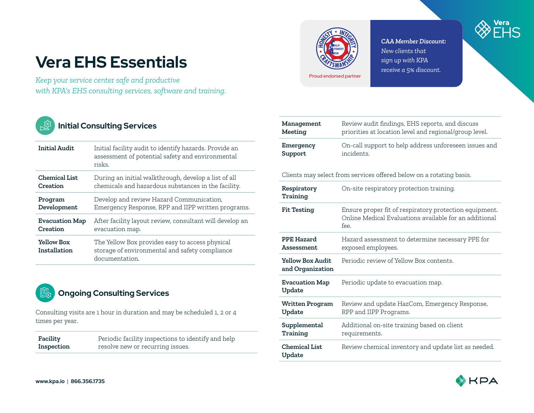# **Vera EHS Essentials**

*Keep your service center safe and productive with KPA's EHS consulting services, software and training.*



## **Initial Consulting Services**

| <b>Initial Audit</b>              | Initial facility audit to identify hazards. Provide an<br>assessment of potential safety and environmental<br>risks. |
|-----------------------------------|----------------------------------------------------------------------------------------------------------------------|
| Chemical List                     | During an initial walkthrough, develop a list of all                                                                 |
| Creation                          | chemicals and hazardous substances in the facility.                                                                  |
| Program                           | Develop and review Hazard Communication,                                                                             |
| Development                       | Emergency Response, RPP and IIPP written programs.                                                                   |
| <b>Evacuation Map</b>             | After facility layout review, consultant will develop an                                                             |
| Creation                          | evacuation map.                                                                                                      |
| <b>Yellow Box</b><br>Installation | The Yellow Box provides easy to access physical<br>storage of environmental and safety compliance<br>documentation.  |



Consulting visits are 1 hour in duration and may be scheduled 1, 2 or 4 times per year.

| Facility   | Periodic facility inspections to identify and help |
|------------|----------------------------------------------------|
| Inspection | resolve new or recurring issues.                   |



### *CAA Member Discount: New clients that sign up with KPA receive a 5% discount.*



| Management           | Review audit findings, EHS reports, and discuss                     |
|----------------------|---------------------------------------------------------------------|
| Meeting              | priorities at location level and regional/group level.              |
| Emergency<br>Support | On-call support to help address unforeseen issues and<br>incidents. |

Clients may select from services offered below on a rotating basis.

| Respiratory<br>Training              | On-site respiratory protection training.                                                                                 |
|--------------------------------------|--------------------------------------------------------------------------------------------------------------------------|
| <b>Fit Testing</b>                   | Ensure proper fit of respiratory protection equipment.<br>Online Medical Evaluations available for an additional<br>fee. |
| PPE Hazard<br>Assessment.            | Hazard assessment to determine necessary PPE for<br>exposed employees.                                                   |
| Yellow Box Audit<br>and Organization | Periodic review of Yellow Box contents.                                                                                  |
| <b>Evacuation Map</b><br>Update      | Periodic update to evacuation map.                                                                                       |
| <b>Written Program</b><br>Update     | Review and update HazCom, Emergency Response,<br>RPP and IIPP Programs.                                                  |
| Supplemental<br>Training             | Additional on-site training based on client<br>requirements.                                                             |
| <b>Chemical List</b><br>Update       | Review chemical inventory and update list as needed.                                                                     |